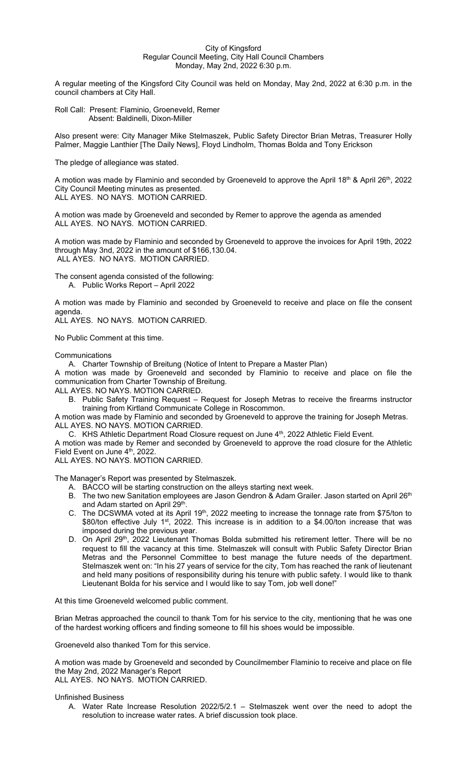## City of Kingsford Regular Council Meeting, City Hall Council Chambers Monday, May 2nd, 2022 6:30 p.m.

A regular meeting of the Kingsford City Council was held on Monday, May 2nd, 2022 at 6:30 p.m. in the council chambers at City Hall.

Roll Call: Present: Flaminio, Groeneveld, Remer Absent: Baldinelli, Dixon-Miller

Also present were: City Manager Mike Stelmaszek, Public Safety Director Brian Metras, Treasurer Holly Palmer, Maggie Lanthier [The Daily News], Floyd Lindholm, Thomas Bolda and Tony Erickson

The pledge of allegiance was stated.

A motion was made by Flaminio and seconded by Groeneveld to approve the April 18<sup>th</sup> & April 26<sup>th</sup>, 2022 City Council Meeting minutes as presented. ALL AYES. NO NAYS. MOTION CARRIED.

A motion was made by Groeneveld and seconded by Remer to approve the agenda as amended ALL AYES. NO NAYS. MOTION CARRIED.

A motion was made by Flaminio and seconded by Groeneveld to approve the invoices for April 19th, 2022 through May 3nd, 2022 in the amount of \$166,130.04. ALL AYES. NO NAYS. MOTION CARRIED.

The consent agenda consisted of the following: A. Public Works Report – April 2022

A motion was made by Flaminio and seconded by Groeneveld to receive and place on file the consent agenda.

ALL AYES. NO NAYS. MOTION CARRIED.

No Public Comment at this time.

Communications

A. Charter Township of Breitung (Notice of Intent to Prepare a Master Plan)

A motion was made by Groeneveld and seconded by Flaminio to receive and place on file the communication from Charter Township of Breitung.

ALL AYES. NO NAYS. MOTION CARRIED.

B. Public Safety Training Request – Request for Joseph Metras to receive the firearms instructor training from Kirtland Communicate College in Roscommon.

A motion was made by Flaminio and seconded by Groeneveld to approve the training for Joseph Metras. ALL AYES. NO NAYS. MOTION CARRIED.

C. KHS Athletic Department Road Closure request on June 4<sup>th</sup>, 2022 Athletic Field Event.

A motion was made by Remer and seconded by Groeneveld to approve the road closure for the Athletic Field Event on June 4<sup>th</sup>, 2022.

ALL AYES. NO NAYS. MOTION CARRIED.

The Manager's Report was presented by Stelmaszek.

- A. BACCO will be starting construction on the alleys starting next week.
- B. The two new Sanitation employees are Jason Gendron & Adam Grailer. Jason started on April 26<sup>th</sup> and Adam started on April 29<sup>th</sup>.
- C. The DCSWMA voted at its April 19<sup>th</sup>, 2022 meeting to increase the tonnage rate from \$75/ton to \$80/ton effective July 1<sup>st</sup>, 2022. This increase is in addition to a \$4.00/ton increase that was imposed during the previous year.
- D. On April 29<sup>th</sup>, 2022 Lieutenant Thomas Bolda submitted his retirement letter. There will be no request to fill the vacancy at this time. Stelmaszek will consult with Public Safety Director Brian Metras and the Personnel Committee to best manage the future needs of the department. Stelmaszek went on: "In his 27 years of service for the city, Tom has reached the rank of lieutenant and held many positions of responsibility during his tenure with public safety. I would like to thank Lieutenant Bolda for his service and I would like to say Tom, job well done!"

At this time Groeneveld welcomed public comment.

Brian Metras approached the council to thank Tom for his service to the city, mentioning that he was one of the hardest working officers and finding someone to fill his shoes would be impossible.

Groeneveld also thanked Tom for this service.

A motion was made by Groeneveld and seconded by Councilmember Flaminio to receive and place on file the May 2nd, 2022 Manager's Report ALL AYES. NO NAYS. MOTION CARRIED.

Unfinished Business

A. Water Rate Increase Resolution 2022/5/2.1 – Stelmaszek went over the need to adopt the resolution to increase water rates. A brief discussion took place.